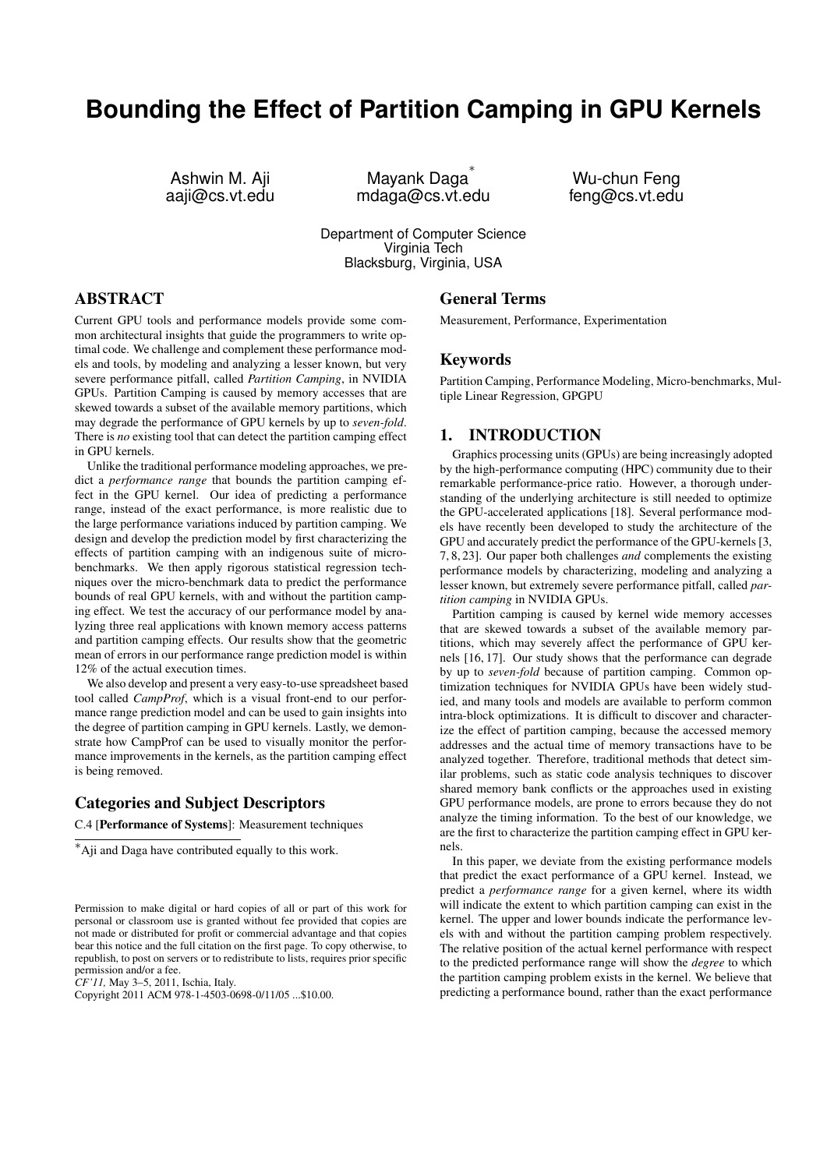# **Bounding the Effect of Partition Camping in GPU Kernels**

Ashwin M. Aji aaji@cs.vt.edu

Mayank Daga ∗ mdaga@cs.vt.edu

Wu-chun Feng feng@cs.vt.edu

Department of Computer Science Virginia Tech Blacksburg, Virginia, USA

# ABSTRACT

Current GPU tools and performance models provide some common architectural insights that guide the programmers to write optimal code. We challenge and complement these performance models and tools, by modeling and analyzing a lesser known, but very severe performance pitfall, called *Partition Camping*, in NVIDIA GPUs. Partition Camping is caused by memory accesses that are skewed towards a subset of the available memory partitions, which may degrade the performance of GPU kernels by up to *seven-fold*. There is *no* existing tool that can detect the partition camping effect in GPU kernels.

Unlike the traditional performance modeling approaches, we predict a *performance range* that bounds the partition camping effect in the GPU kernel. Our idea of predicting a performance range, instead of the exact performance, is more realistic due to the large performance variations induced by partition camping. We design and develop the prediction model by first characterizing the effects of partition camping with an indigenous suite of microbenchmarks. We then apply rigorous statistical regression techniques over the micro-benchmark data to predict the performance bounds of real GPU kernels, with and without the partition camping effect. We test the accuracy of our performance model by analyzing three real applications with known memory access patterns and partition camping effects. Our results show that the geometric mean of errors in our performance range prediction model is within 12% of the actual execution times.

We also develop and present a very easy-to-use spreadsheet based tool called *CampProf*, which is a visual front-end to our performance range prediction model and can be used to gain insights into the degree of partition camping in GPU kernels. Lastly, we demonstrate how CampProf can be used to visually monitor the performance improvements in the kernels, as the partition camping effect is being removed.

# Categories and Subject Descriptors

C.4 [Performance of Systems]: Measurement techniques

<sup>∗</sup>Aji and Daga have contributed equally to this work.

*CF'11,* May 3–5, 2011, Ischia, Italy.

### General Terms

Measurement, Performance, Experimentation

# Keywords

Partition Camping, Performance Modeling, Micro-benchmarks, Multiple Linear Regression, GPGPU

# 1. INTRODUCTION

Graphics processing units (GPUs) are being increasingly adopted by the high-performance computing (HPC) community due to their remarkable performance-price ratio. However, a thorough understanding of the underlying architecture is still needed to optimize the GPU-accelerated applications [18]. Several performance models have recently been developed to study the architecture of the GPU and accurately predict the performance of the GPU-kernels [3, 7, 8, 23]. Our paper both challenges *and* complements the existing performance models by characterizing, modeling and analyzing a lesser known, but extremely severe performance pitfall, called *partition camping* in NVIDIA GPUs.

Partition camping is caused by kernel wide memory accesses that are skewed towards a subset of the available memory partitions, which may severely affect the performance of GPU kernels [16, 17]. Our study shows that the performance can degrade by up to *seven-fold* because of partition camping. Common optimization techniques for NVIDIA GPUs have been widely studied, and many tools and models are available to perform common intra-block optimizations. It is difficult to discover and characterize the effect of partition camping, because the accessed memory addresses and the actual time of memory transactions have to be analyzed together. Therefore, traditional methods that detect similar problems, such as static code analysis techniques to discover shared memory bank conflicts or the approaches used in existing GPU performance models, are prone to errors because they do not analyze the timing information. To the best of our knowledge, we are the first to characterize the partition camping effect in GPU kernels.

In this paper, we deviate from the existing performance models that predict the exact performance of a GPU kernel. Instead, we predict a *performance range* for a given kernel, where its width will indicate the extent to which partition camping can exist in the kernel. The upper and lower bounds indicate the performance levels with and without the partition camping problem respectively. The relative position of the actual kernel performance with respect to the predicted performance range will show the *degree* to which the partition camping problem exists in the kernel. We believe that predicting a performance bound, rather than the exact performance

Permission to make digital or hard copies of all or part of this work for personal or classroom use is granted without fee provided that copies are not made or distributed for profit or commercial advantage and that copies bear this notice and the full citation on the first page. To copy otherwise, to republish, to post on servers or to redistribute to lists, requires prior specific permission and/or a fee.

Copyright 2011 ACM 978-1-4503-0698-0/11/05 ...\$10.00.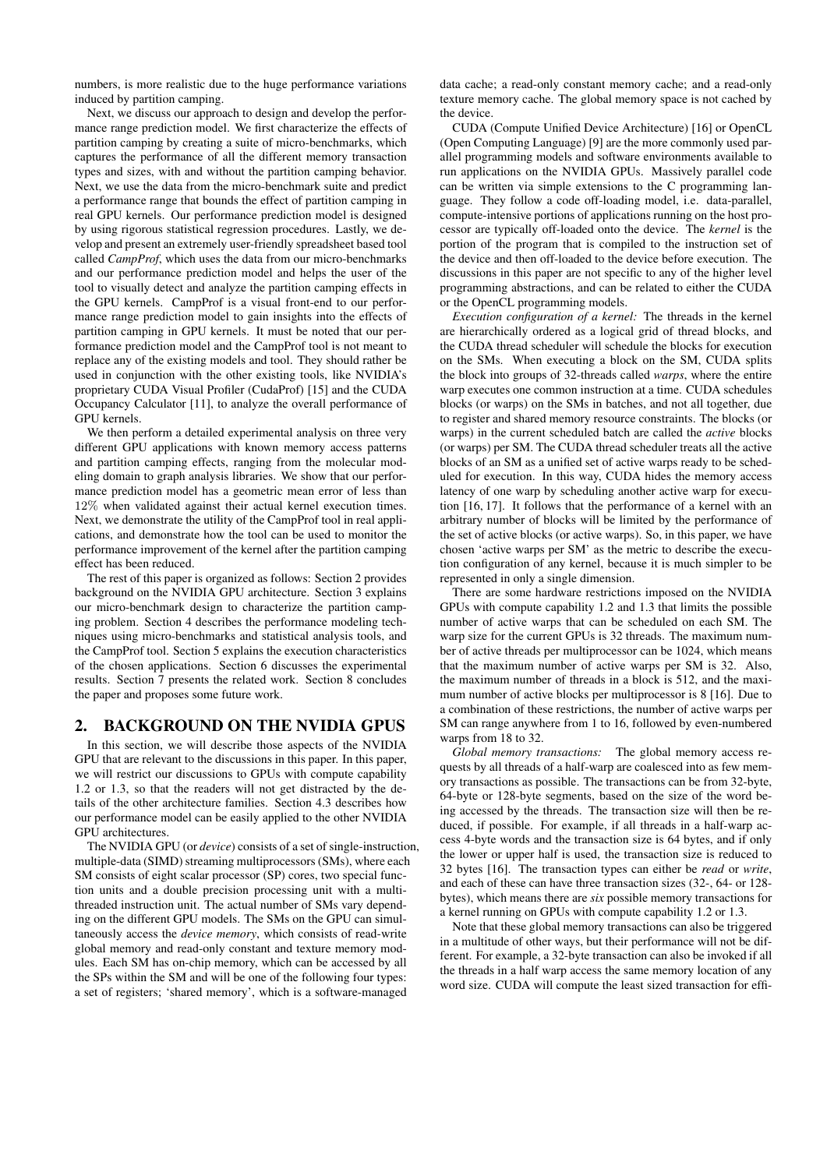numbers, is more realistic due to the huge performance variations induced by partition camping.

Next, we discuss our approach to design and develop the performance range prediction model. We first characterize the effects of partition camping by creating a suite of micro-benchmarks, which captures the performance of all the different memory transaction types and sizes, with and without the partition camping behavior. Next, we use the data from the micro-benchmark suite and predict a performance range that bounds the effect of partition camping in real GPU kernels. Our performance prediction model is designed by using rigorous statistical regression procedures. Lastly, we develop and present an extremely user-friendly spreadsheet based tool called *CampProf*, which uses the data from our micro-benchmarks and our performance prediction model and helps the user of the tool to visually detect and analyze the partition camping effects in the GPU kernels. CampProf is a visual front-end to our performance range prediction model to gain insights into the effects of partition camping in GPU kernels. It must be noted that our performance prediction model and the CampProf tool is not meant to replace any of the existing models and tool. They should rather be used in conjunction with the other existing tools, like NVIDIA's proprietary CUDA Visual Profiler (CudaProf) [15] and the CUDA Occupancy Calculator [11], to analyze the overall performance of GPU kernels.

We then perform a detailed experimental analysis on three very different GPU applications with known memory access patterns and partition camping effects, ranging from the molecular modeling domain to graph analysis libraries. We show that our performance prediction model has a geometric mean error of less than 12% when validated against their actual kernel execution times. Next, we demonstrate the utility of the CampProf tool in real applications, and demonstrate how the tool can be used to monitor the performance improvement of the kernel after the partition camping effect has been reduced.

The rest of this paper is organized as follows: Section 2 provides background on the NVIDIA GPU architecture. Section 3 explains our micro-benchmark design to characterize the partition camping problem. Section 4 describes the performance modeling techniques using micro-benchmarks and statistical analysis tools, and the CampProf tool. Section 5 explains the execution characteristics of the chosen applications. Section 6 discusses the experimental results. Section 7 presents the related work. Section 8 concludes the paper and proposes some future work.

# 2. BACKGROUND ON THE NVIDIA GPUS

In this section, we will describe those aspects of the NVIDIA GPU that are relevant to the discussions in this paper. In this paper, we will restrict our discussions to GPUs with compute capability 1.2 or 1.3, so that the readers will not get distracted by the details of the other architecture families. Section 4.3 describes how our performance model can be easily applied to the other NVIDIA GPU architectures.

The NVIDIA GPU (or *device*) consists of a set of single-instruction, multiple-data (SIMD) streaming multiprocessors (SMs), where each SM consists of eight scalar processor (SP) cores, two special function units and a double precision processing unit with a multithreaded instruction unit. The actual number of SMs vary depending on the different GPU models. The SMs on the GPU can simultaneously access the *device memory*, which consists of read-write global memory and read-only constant and texture memory modules. Each SM has on-chip memory, which can be accessed by all the SPs within the SM and will be one of the following four types: a set of registers; 'shared memory', which is a software-managed

data cache; a read-only constant memory cache; and a read-only texture memory cache. The global memory space is not cached by the device.

CUDA (Compute Unified Device Architecture) [16] or OpenCL (Open Computing Language) [9] are the more commonly used parallel programming models and software environments available to run applications on the NVIDIA GPUs. Massively parallel code can be written via simple extensions to the C programming language. They follow a code off-loading model, i.e. data-parallel, compute-intensive portions of applications running on the host processor are typically off-loaded onto the device. The *kernel* is the portion of the program that is compiled to the instruction set of the device and then off-loaded to the device before execution. The discussions in this paper are not specific to any of the higher level programming abstractions, and can be related to either the CUDA or the OpenCL programming models.

*Execution configuration of a kernel:* The threads in the kernel are hierarchically ordered as a logical grid of thread blocks, and the CUDA thread scheduler will schedule the blocks for execution on the SMs. When executing a block on the SM, CUDA splits the block into groups of 32-threads called *warps*, where the entire warp executes one common instruction at a time. CUDA schedules blocks (or warps) on the SMs in batches, and not all together, due to register and shared memory resource constraints. The blocks (or warps) in the current scheduled batch are called the *active* blocks (or warps) per SM. The CUDA thread scheduler treats all the active blocks of an SM as a unified set of active warps ready to be scheduled for execution. In this way, CUDA hides the memory access latency of one warp by scheduling another active warp for execution [16, 17]. It follows that the performance of a kernel with an arbitrary number of blocks will be limited by the performance of the set of active blocks (or active warps). So, in this paper, we have chosen 'active warps per SM' as the metric to describe the execution configuration of any kernel, because it is much simpler to be represented in only a single dimension.

There are some hardware restrictions imposed on the NVIDIA GPUs with compute capability 1.2 and 1.3 that limits the possible number of active warps that can be scheduled on each SM. The warp size for the current GPUs is 32 threads. The maximum number of active threads per multiprocessor can be 1024, which means that the maximum number of active warps per SM is 32. Also, the maximum number of threads in a block is 512, and the maximum number of active blocks per multiprocessor is 8 [16]. Due to a combination of these restrictions, the number of active warps per SM can range anywhere from 1 to 16, followed by even-numbered warps from 18 to 32.

*Global memory transactions:* The global memory access requests by all threads of a half-warp are coalesced into as few memory transactions as possible. The transactions can be from 32-byte, 64-byte or 128-byte segments, based on the size of the word being accessed by the threads. The transaction size will then be reduced, if possible. For example, if all threads in a half-warp access 4-byte words and the transaction size is 64 bytes, and if only the lower or upper half is used, the transaction size is reduced to 32 bytes [16]. The transaction types can either be *read* or *write*, and each of these can have three transaction sizes (32-, 64- or 128 bytes), which means there are *six* possible memory transactions for a kernel running on GPUs with compute capability 1.2 or 1.3.

Note that these global memory transactions can also be triggered in a multitude of other ways, but their performance will not be different. For example, a 32-byte transaction can also be invoked if all the threads in a half warp access the same memory location of any word size. CUDA will compute the least sized transaction for effi-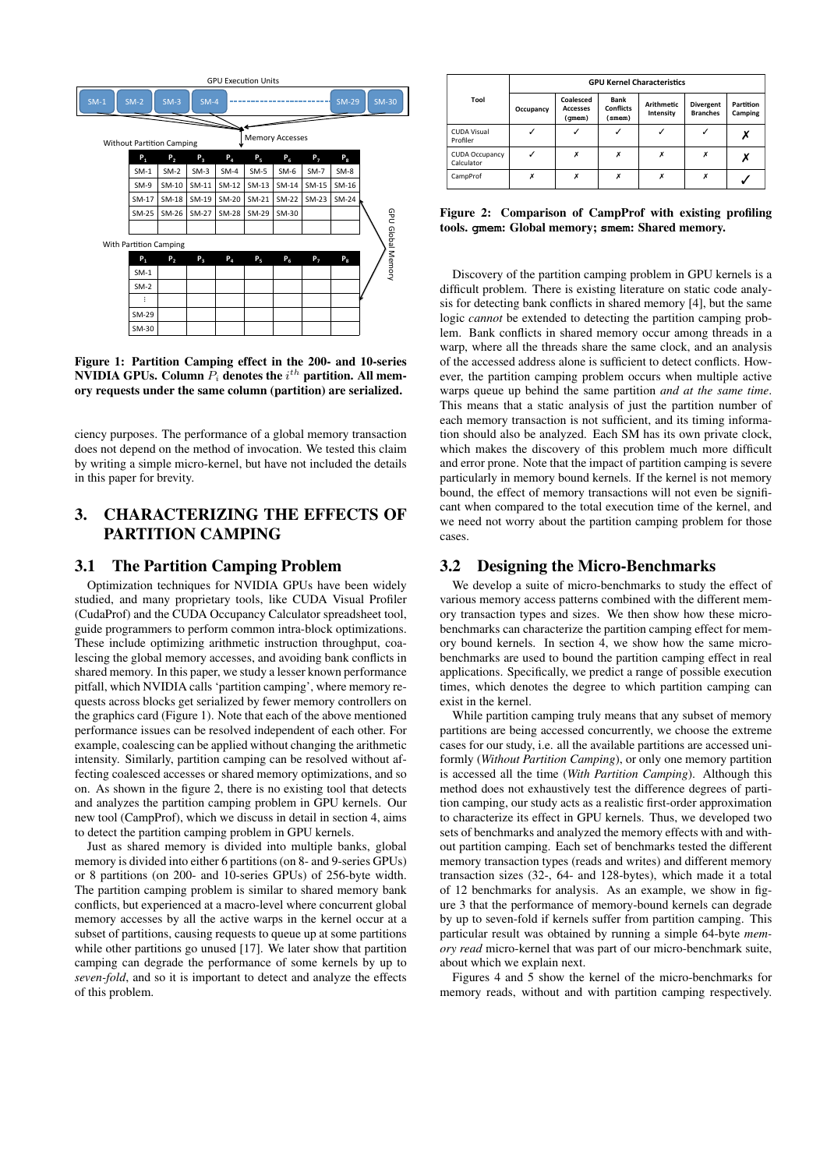

Figure 1: Partition Camping effect in the 200- and 10-series NVIDIA GPUs. Column  $\overline{P_i}$  denotes the  $i^{th}$  partition. All memory requests under the same column (partition) are serialized.

ciency purposes. The performance of a global memory transaction does not depend on the method of invocation. We tested this claim by writing a simple micro-kernel, but have not included the details in this paper for brevity.

#### **3. CHARACTERIZING THE EFFECTS OF PARTITION CAMPING**

#### $3.1$ **The Partition Camping Problem**

Optimization techniques for NVIDIA GPUs have been widely studied, and many proprietary tools, like CUDA Visual Profiler (CudaProf) and the CUDA Occupancy Calculator spreadsheet tool, guide programmers to perform common intra-block optimizations. These include optimizing arithmetic instruction throughput, coalescing the global memory accesses, and avoiding bank conflicts in shared memory. In this paper, we study a lesser known performance pitfall, which NVIDIA calls 'partition camping', where memory requests across blocks get serialized by fewer memory controllers on the graphics card (Figure 1). Note that each of the above mentioned performance issues can be resolved independent of each other. For example, coalescing can be applied without changing the arithmetic intensity. Similarly, partition camping can be resolved without affecting coalesced accesses or shared memory optimizations, and so on. As shown in the figure 2, there is no existing tool that detects and analyzes the partition camping problem in GPU kernels. Our new tool (CampProf), which we discuss in detail in section 4, aims to detect the partition camping problem in GPU kernels.

Just as shared memory is divided into multiple banks, global memory is divided into either 6 partitions (on 8- and 9-series GPUs) or 8 partitions (on 200- and 10-series GPUs) of 256-byte width. The partition camping problem is similar to shared memory bank conflicts, but experienced at a macro-level where concurrent global memory accesses by all the active warps in the kernel occur at a subset of partitions, causing requests to queue up at some partitions while other partitions go unused [17]. We later show that partition camping can degrade the performance of some kernels by up to seven-fold, and so it is important to detect and analyze the effects of this problem.

|                                     | <b>GPU Kernel Characteristics</b> |                                        |                                           |                                |                              |                      |  |  |  |
|-------------------------------------|-----------------------------------|----------------------------------------|-------------------------------------------|--------------------------------|------------------------------|----------------------|--|--|--|
| Tool                                | Occupancy                         | Coalesced<br><b>Accesses</b><br>(qmem) | <b>Bank</b><br><b>Conflicts</b><br>(smem) | <b>Arithmetic</b><br>Intensity | Divergent<br><b>Branches</b> | Partition<br>Camping |  |  |  |
| <b>CUDA Visual</b><br>Profiler      |                                   |                                        |                                           |                                |                              |                      |  |  |  |
| <b>CUDA Occupancy</b><br>Calculator |                                   | X                                      | х                                         | Х                              | Х                            |                      |  |  |  |
| CampProf                            |                                   | X                                      | х                                         | Х                              | х                            |                      |  |  |  |

Figure 2: Comparison of CampProf with existing profiling tools. gmem: Global memory; smem: Shared memory.

Discovery of the partition camping problem in GPU kernels is a difficult problem. There is existing literature on static code analysis for detecting bank conflicts in shared memory [4], but the same logic cannot be extended to detecting the partition camping problem. Bank conflicts in shared memory occur among threads in a warp, where all the threads share the same clock, and an analysis of the accessed address alone is sufficient to detect conflicts. However, the partition camping problem occurs when multiple active warps queue up behind the same partition *and at the same time*. This means that a static analysis of just the partition number of each memory transaction is not sufficient, and its timing information should also be analyzed. Each SM has its own private clock. which makes the discovery of this problem much more difficult and error prone. Note that the impact of partition camping is severe particularly in memory bound kernels. If the kernel is not memory bound, the effect of memory transactions will not even be significant when compared to the total execution time of the kernel, and we need not worry about the partition camping problem for those cases.

#### $3.2$ **Designing the Micro-Benchmarks**

We develop a suite of micro-benchmarks to study the effect of various memory access patterns combined with the different memory transaction types and sizes. We then show how these microbenchmarks can characterize the partition camping effect for memory bound kernels. In section 4, we show how the same microbenchmarks are used to bound the partition camping effect in real applications. Specifically, we predict a range of possible execution times, which denotes the degree to which partition camping can exist in the kernel.

While partition camping truly means that any subset of memory partitions are being accessed concurrently, we choose the extreme cases for our study, i.e. all the available partitions are accessed uniformly (Without Partition Camping), or only one memory partition is accessed all the time (With Partition Camping). Although this method does not exhaustively test the difference degrees of partition camping, our study acts as a realistic first-order approximation to characterize its effect in GPU kernels. Thus, we developed two sets of benchmarks and analyzed the memory effects with and without partition camping. Each set of benchmarks tested the different memory transaction types (reads and writes) and different memory transaction sizes (32-, 64- and 128-bytes), which made it a total of 12 benchmarks for analysis. As an example, we show in figure 3 that the performance of memory-bound kernels can degrade by up to seven-fold if kernels suffer from partition camping. This particular result was obtained by running a simple 64-byte memory read micro-kernel that was part of our micro-benchmark suite, about which we explain next.

Figures 4 and 5 show the kernel of the micro-benchmarks for memory reads, without and with partition camping respectively.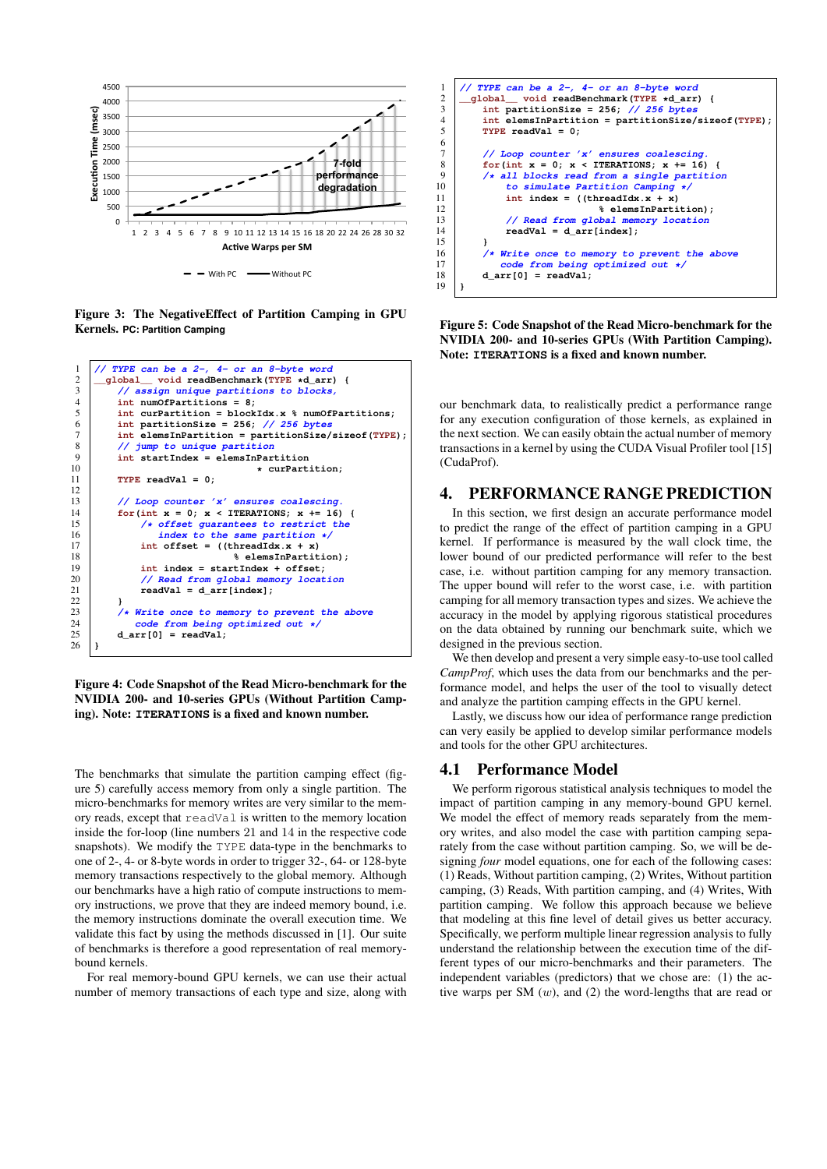

Figure 3: The NegativeEffect of Partition Camping in GPU Kernels. **PC: Partition Camping**



Figure 4: Code Snapshot of the Read Micro-benchmark for the NVIDIA 200- and 10-series GPUs (Without Partition Camping). Note: **ITERATIONS** is a fixed and known number.

The benchmarks that simulate the partition camping effect (figure 5) carefully access memory from only a single partition. The micro-benchmarks for memory writes are very similar to the memory reads, except that readVal is written to the memory location inside the for-loop (line numbers 21 and 14 in the respective code snapshots). We modify the TYPE data-type in the benchmarks to one of 2-, 4- or 8-byte words in order to trigger 32-, 64- or 128-byte memory transactions respectively to the global memory. Although our benchmarks have a high ratio of compute instructions to memory instructions, we prove that they are indeed memory bound, i.e. the memory instructions dominate the overall execution time. We validate this fact by using the methods discussed in [1]. Our suite of benchmarks is therefore a good representation of real memorybound kernels.

For real memory-bound GPU kernels, we can use their actual number of memory transactions of each type and size, along with

```
1 // TYPE can be a 2-, 4- or an 8-byte word
2 __global__ void readBenchmark(TYPE *d_arr) {
 3 int partitionSize = 256; // 256 bytes
4 int elemsInPartition = partitionSize/sizeof(TYPE);<br>5 TYPE readVal = 0;
          5 TYPE readVal = 0;
6
7 // Loop counter 'x' ensures coalescing.
8 for (int x = 0; x < ITERATIONS; x += 16)<br>9 /* all blocks read from a single partitio
9 /* all blocks read from a single partition
10 to simulate Partition Camping */<br>11 int index = ((threadIdx.x + x)
11 \begin{cases} \n\text{int index} = \left( \text{threadIdx} \cdot \mathbf{x} + \mathbf{x} \right) \\
\text{the element} \n\end{cases}12 8 elemsInPartition);<br>13 // Read from global memory location
               13 // Read from global memory location
14 readVal = d_arr[index];
15 }
16 /* Write once to memory to prevent the above
17 code from being optimized out */
     d_{\text{a}} = \text{readVal};
19 }
```
#### Figure 5: Code Snapshot of the Read Micro-benchmark for the NVIDIA 200- and 10-series GPUs (With Partition Camping). Note: **ITERATIONS** is a fixed and known number.

our benchmark data, to realistically predict a performance range for any execution configuration of those kernels, as explained in the next section. We can easily obtain the actual number of memory transactions in a kernel by using the CUDA Visual Profiler tool [15] (CudaProf).

# 4. PERFORMANCE RANGE PREDICTION

In this section, we first design an accurate performance model to predict the range of the effect of partition camping in a GPU kernel. If performance is measured by the wall clock time, the lower bound of our predicted performance will refer to the best case, i.e. without partition camping for any memory transaction. The upper bound will refer to the worst case, i.e. with partition camping for all memory transaction types and sizes. We achieve the accuracy in the model by applying rigorous statistical procedures on the data obtained by running our benchmark suite, which we designed in the previous section.

We then develop and present a very simple easy-to-use tool called *CampProf*, which uses the data from our benchmarks and the performance model, and helps the user of the tool to visually detect and analyze the partition camping effects in the GPU kernel.

Lastly, we discuss how our idea of performance range prediction can very easily be applied to develop similar performance models and tools for the other GPU architectures.

# 4.1 Performance Model

We perform rigorous statistical analysis techniques to model the impact of partition camping in any memory-bound GPU kernel. We model the effect of memory reads separately from the memory writes, and also model the case with partition camping separately from the case without partition camping. So, we will be designing *four* model equations, one for each of the following cases: (1) Reads, Without partition camping, (2) Writes, Without partition camping, (3) Reads, With partition camping, and (4) Writes, With partition camping. We follow this approach because we believe that modeling at this fine level of detail gives us better accuracy. Specifically, we perform multiple linear regression analysis to fully understand the relationship between the execution time of the different types of our micro-benchmarks and their parameters. The independent variables (predictors) that we chose are: (1) the active warps per SM  $(w)$ , and  $(2)$  the word-lengths that are read or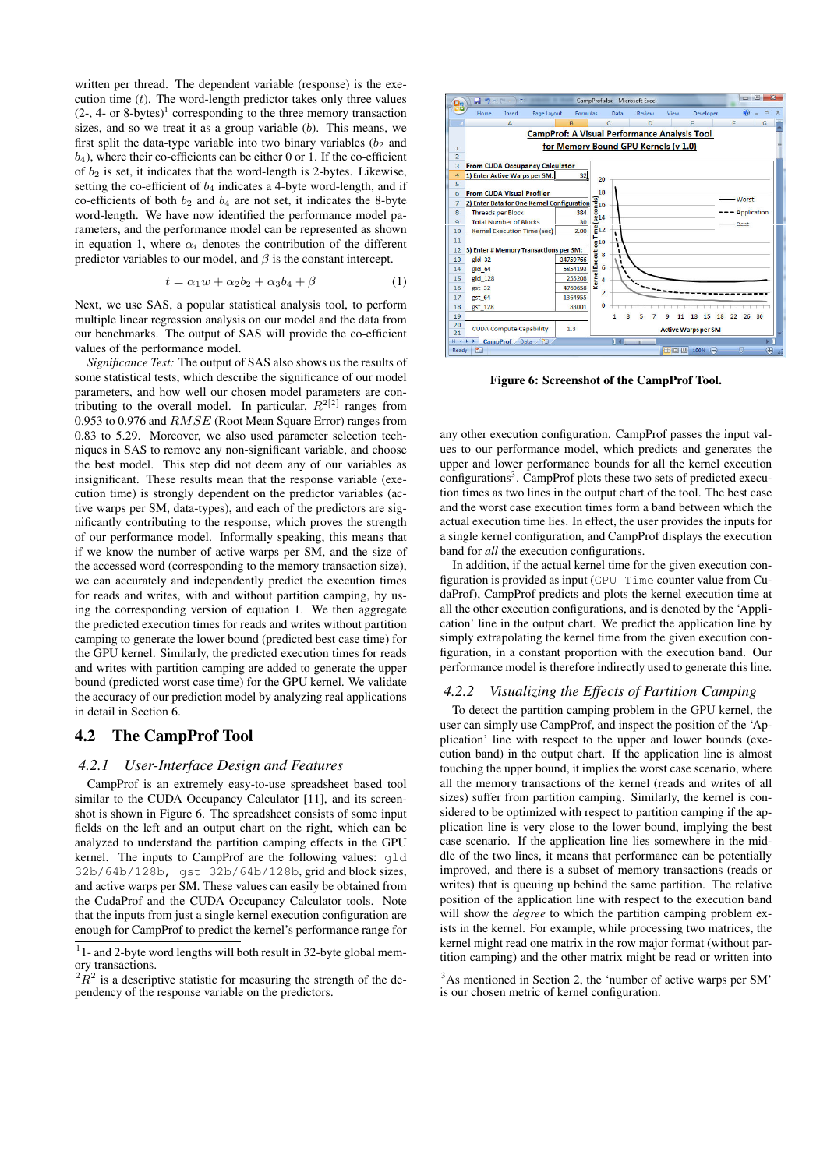written per thread. The dependent variable (response) is the execution time  $(t)$ . The word-length predictor takes only three values  $(2, 4$ - or 8-bytes)<sup>1</sup> corresponding to the three memory transaction sizes, and so we treat it as a group variable  $(b)$ . This means, we first split the data-type variable into two binary variables  $(b<sub>2</sub>$  and  $b_4$ ), where their co-efficients can be either 0 or 1. If the co-efficient of  $b_2$  is set, it indicates that the word-length is 2-bytes. Likewise, setting the co-efficient of  $b_4$  indicates a 4-byte word-length, and if co-efficients of both  $b_2$  and  $b_4$  are not set, it indicates the 8-byte word-length. We have now identified the performance model parameters, and the performance model can be represented as shown in equation 1, where  $\alpha_i$  denotes the contribution of the different predictor variables to our model, and  $\beta$  is the constant intercept.

$$
t = \alpha_1 w + \alpha_2 b_2 + \alpha_3 b_4 + \beta \tag{1}
$$

Next, we use SAS, a popular statistical analysis tool, to perform multiple linear regression analysis on our model and the data from our benchmarks. The output of SAS will provide the co-efficient values of the performance model.

*Significance Test:* The output of SAS also shows us the results of some statistical tests, which describe the significance of our model parameters, and how well our chosen model parameters are contributing to the overall model. In particular,  $R^{2[2]}$  ranges from 0.953 to 0.976 and  $RMSE$  (Root Mean Square Error) ranges from 0.83 to 5.29. Moreover, we also used parameter selection techniques in SAS to remove any non-significant variable, and choose the best model. This step did not deem any of our variables as insignificant. These results mean that the response variable (execution time) is strongly dependent on the predictor variables (active warps per SM, data-types), and each of the predictors are significantly contributing to the response, which proves the strength of our performance model. Informally speaking, this means that if we know the number of active warps per SM, and the size of the accessed word (corresponding to the memory transaction size), we can accurately and independently predict the execution times for reads and writes, with and without partition camping, by using the corresponding version of equation 1. We then aggregate the predicted execution times for reads and writes without partition camping to generate the lower bound (predicted best case time) for the GPU kernel. Similarly, the predicted execution times for reads and writes with partition camping are added to generate the upper bound (predicted worst case time) for the GPU kernel. We validate the accuracy of our prediction model by analyzing real applications in detail in Section 6.

# 4.2 The CampProf Tool

#### *4.2.1 User-Interface Design and Features*

CampProf is an extremely easy-to-use spreadsheet based tool similar to the CUDA Occupancy Calculator [11], and its screenshot is shown in Figure 6. The spreadsheet consists of some input fields on the left and an output chart on the right, which can be analyzed to understand the partition camping effects in the GPU kernel. The inputs to CampProf are the following values: gld 32b/64b/128b, gst 32b/64b/128b, grid and block sizes, and active warps per SM. These values can easily be obtained from the CudaProf and the CUDA Occupancy Calculator tools. Note that the inputs from just a single kernel execution configuration are enough for CampProf to predict the kernel's performance range for



Figure 6: Screenshot of the CampProf Tool.

any other execution configuration. CampProf passes the input values to our performance model, which predicts and generates the upper and lower performance bounds for all the kernel execution configurations<sup>3</sup>. CampProf plots these two sets of predicted execution times as two lines in the output chart of the tool. The best case and the worst case execution times form a band between which the actual execution time lies. In effect, the user provides the inputs for a single kernel configuration, and CampProf displays the execution band for *all* the execution configurations.

In addition, if the actual kernel time for the given execution configuration is provided as input (GPU Time counter value from CudaProf), CampProf predicts and plots the kernel execution time at all the other execution configurations, and is denoted by the 'Application' line in the output chart. We predict the application line by simply extrapolating the kernel time from the given execution configuration, in a constant proportion with the execution band. Our performance model is therefore indirectly used to generate this line.

#### *4.2.2 Visualizing the Effects of Partition Camping*

To detect the partition camping problem in the GPU kernel, the user can simply use CampProf, and inspect the position of the 'Application' line with respect to the upper and lower bounds (execution band) in the output chart. If the application line is almost touching the upper bound, it implies the worst case scenario, where all the memory transactions of the kernel (reads and writes of all sizes) suffer from partition camping. Similarly, the kernel is considered to be optimized with respect to partition camping if the application line is very close to the lower bound, implying the best case scenario. If the application line lies somewhere in the middle of the two lines, it means that performance can be potentially improved, and there is a subset of memory transactions (reads or writes) that is queuing up behind the same partition. The relative position of the application line with respect to the execution band will show the *degree* to which the partition camping problem exists in the kernel. For example, while processing two matrices, the kernel might read one matrix in the row major format (without partition camping) and the other matrix might be read or written into

<sup>&</sup>lt;sup>1</sup>1- and 2-byte word lengths will both result in 32-byte global memory transactions.

 ${}^{2}R^{2}$  is a descriptive statistic for measuring the strength of the dependency of the response variable on the predictors.

<sup>3</sup>As mentioned in Section 2, the 'number of active warps per SM' is our chosen metric of kernel configuration.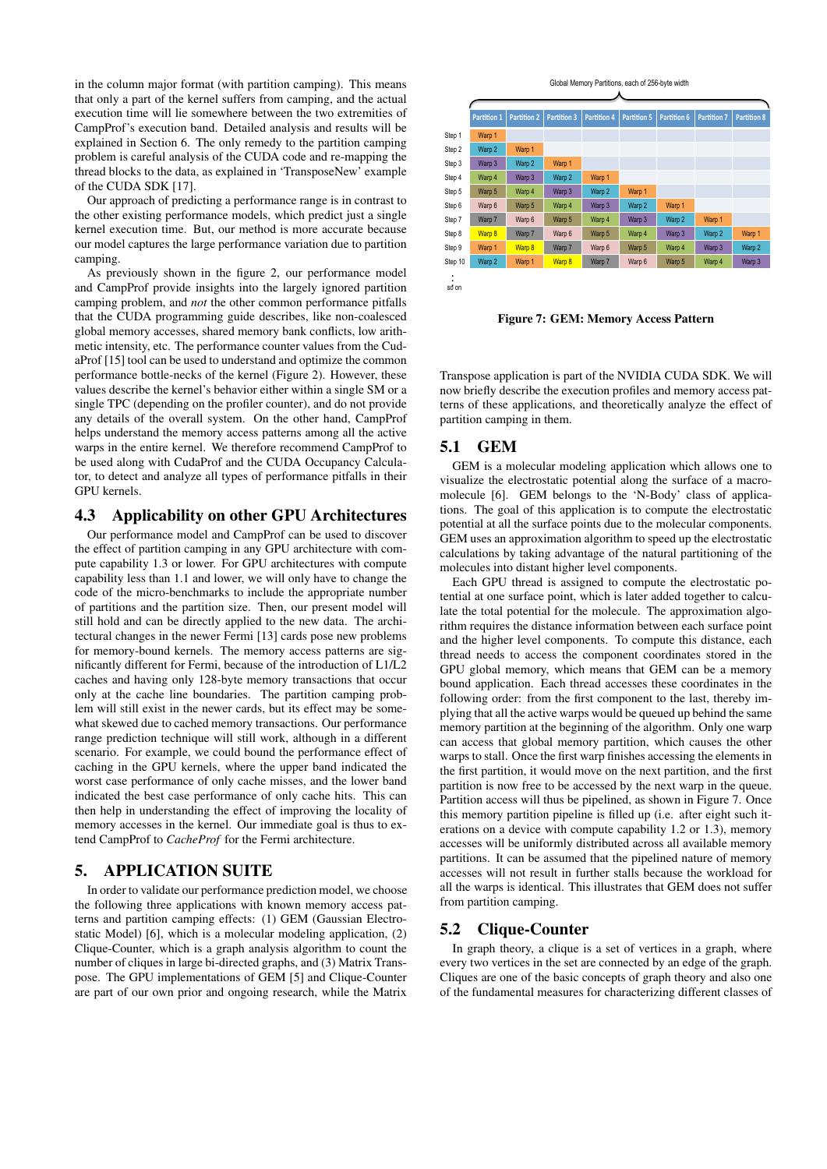in the column major format (with partition camping). This means that only a part of the kernel suffers from camping, and the actual execution time will lie somewhere between the two extremities of CampProf's execution band. Detailed analysis and results will be explained in Section 6. The only remedy to the partition camping problem is careful analysis of the CUDA code and re-mapping the thread blocks to the data, as explained in 'TransposeNew' example of the CUDA SDK [17].

Our approach of predicting a performance range is in contrast to the other existing performance models, which predict just a single kernel execution time. But, our method is more accurate because our model captures the large performance variation due to partition camping.

As previously shown in the figure 2, our performance model and CampProf provide insights into the largely ignored partition camping problem, and *not* the other common performance pitfalls that the CUDA programming guide describes, like non-coalesced global memory accesses, shared memory bank conflicts, low arithmetic intensity, etc. The performance counter values from the CudaProf [15] tool can be used to understand and optimize the common performance bottle-necks of the kernel (Figure 2). However, these values describe the kernel's behavior either within a single SM or a single TPC (depending on the profiler counter), and do not provide any details of the overall system. On the other hand, CampProf helps understand the memory access patterns among all the active warps in the entire kernel. We therefore recommend CampProf to be used along with CudaProf and the CUDA Occupancy Calculator, to detect and analyze all types of performance pitfalls in their GPU kernels.

# 4.3 Applicability on other GPU Architectures

Our performance model and CampProf can be used to discover the effect of partition camping in any GPU architecture with compute capability 1.3 or lower. For GPU architectures with compute capability less than 1.1 and lower, we will only have to change the code of the micro-benchmarks to include the appropriate number of partitions and the partition size. Then, our present model will still hold and can be directly applied to the new data. The architectural changes in the newer Fermi [13] cards pose new problems for memory-bound kernels. The memory access patterns are significantly different for Fermi, because of the introduction of L1/L2 caches and having only 128-byte memory transactions that occur only at the cache line boundaries. The partition camping problem will still exist in the newer cards, but its effect may be somewhat skewed due to cached memory transactions. Our performance range prediction technique will still work, although in a different scenario. For example, we could bound the performance effect of caching in the GPU kernels, where the upper band indicated the worst case performance of only cache misses, and the lower band indicated the best case performance of only cache hits. This can then help in understanding the effect of improving the locality of memory accesses in the kernel. Our immediate goal is thus to extend CampProf to *CacheProf* for the Fermi architecture.

# 5. APPLICATION SUITE

In order to validate our performance prediction model, we choose the following three applications with known memory access patterns and partition camping effects: (1) GEM (Gaussian Electrostatic Model) [6], which is a molecular modeling application, (2) Clique-Counter, which is a graph analysis algorithm to count the number of cliques in large bi-directed graphs, and (3) Matrix Transpose. The GPU implementations of GEM [5] and Clique-Counter are part of our own prior and ongoing research, while the Matrix

Global Memory Partitions, each of 256-byte width  $\boldsymbol{\lambda}$ 

|                 | <b>Partition 1</b> | <b>Partition 2</b> | <b>Partition 3</b> | <b>Partition 4</b> | <b>Partition 5</b> | <b>Partition 6</b> | <b>Partition 7</b> | <b>Partition 8</b> |  |
|-----------------|--------------------|--------------------|--------------------|--------------------|--------------------|--------------------|--------------------|--------------------|--|
| Step 1          | Warp 1             |                    |                    |                    |                    |                    |                    |                    |  |
| Step 2          | Warp 2             | Warp 1             |                    |                    |                    |                    |                    |                    |  |
| Step 3          | Warp 3             | Warp 2             | Warp 1             |                    |                    |                    |                    |                    |  |
| Step 4          | Warp 4             | Warp 3             | Warp 2             | Warp 1             |                    |                    |                    |                    |  |
| Step 5          | Warp 5             | Warp 4             | Warp 3             | Warp 2             | Warp 1             |                    |                    |                    |  |
| Step 6          | Warp 6             | Warp 5             | Warp 4             | Warp 3             | Warp 2             | Warp 1             |                    |                    |  |
| Step 7          | Warp 7             | Warp 6             | Warp 5             | Warp 4             | Warp 3             | Warp 2             | Warp 1             |                    |  |
| Step 8          | Warp 8             | Warp 7             | Warp 6             | Warp 5             | Warp 4             | Warp 3             | Warp 2             | Warp 1             |  |
| Step 9          | Warp 1             | Warp 8             | Warp 7             | Warp 6             | Warp 5             | Warp 4             | Warp 3             | Warp 2             |  |
| Step 10         | Warp 2             | Warp 1             | Warp 8             | Warp 7             | Warp 6             | Warp 5             | Warp 4             | Warp 3             |  |
| ٠<br>٠<br>so on |                    |                    |                    |                    |                    |                    |                    |                    |  |

Figure 7: GEM: Memory Access Pattern

Transpose application is part of the NVIDIA CUDA SDK. We will now briefly describe the execution profiles and memory access patterns of these applications, and theoretically analyze the effect of partition camping in them.

# 5.1 GEM

GEM is a molecular modeling application which allows one to visualize the electrostatic potential along the surface of a macromolecule [6]. GEM belongs to the 'N-Body' class of applications. The goal of this application is to compute the electrostatic potential at all the surface points due to the molecular components. GEM uses an approximation algorithm to speed up the electrostatic calculations by taking advantage of the natural partitioning of the molecules into distant higher level components.

Each GPU thread is assigned to compute the electrostatic potential at one surface point, which is later added together to calculate the total potential for the molecule. The approximation algorithm requires the distance information between each surface point and the higher level components. To compute this distance, each thread needs to access the component coordinates stored in the GPU global memory, which means that GEM can be a memory bound application. Each thread accesses these coordinates in the following order: from the first component to the last, thereby implying that all the active warps would be queued up behind the same memory partition at the beginning of the algorithm. Only one warp can access that global memory partition, which causes the other warps to stall. Once the first warp finishes accessing the elements in the first partition, it would move on the next partition, and the first partition is now free to be accessed by the next warp in the queue. Partition access will thus be pipelined, as shown in Figure 7. Once this memory partition pipeline is filled up (i.e. after eight such iterations on a device with compute capability 1.2 or 1.3), memory accesses will be uniformly distributed across all available memory partitions. It can be assumed that the pipelined nature of memory accesses will not result in further stalls because the workload for all the warps is identical. This illustrates that GEM does not suffer from partition camping.

#### 5.2 Clique-Counter

In graph theory, a clique is a set of vertices in a graph, where every two vertices in the set are connected by an edge of the graph. Cliques are one of the basic concepts of graph theory and also one of the fundamental measures for characterizing different classes of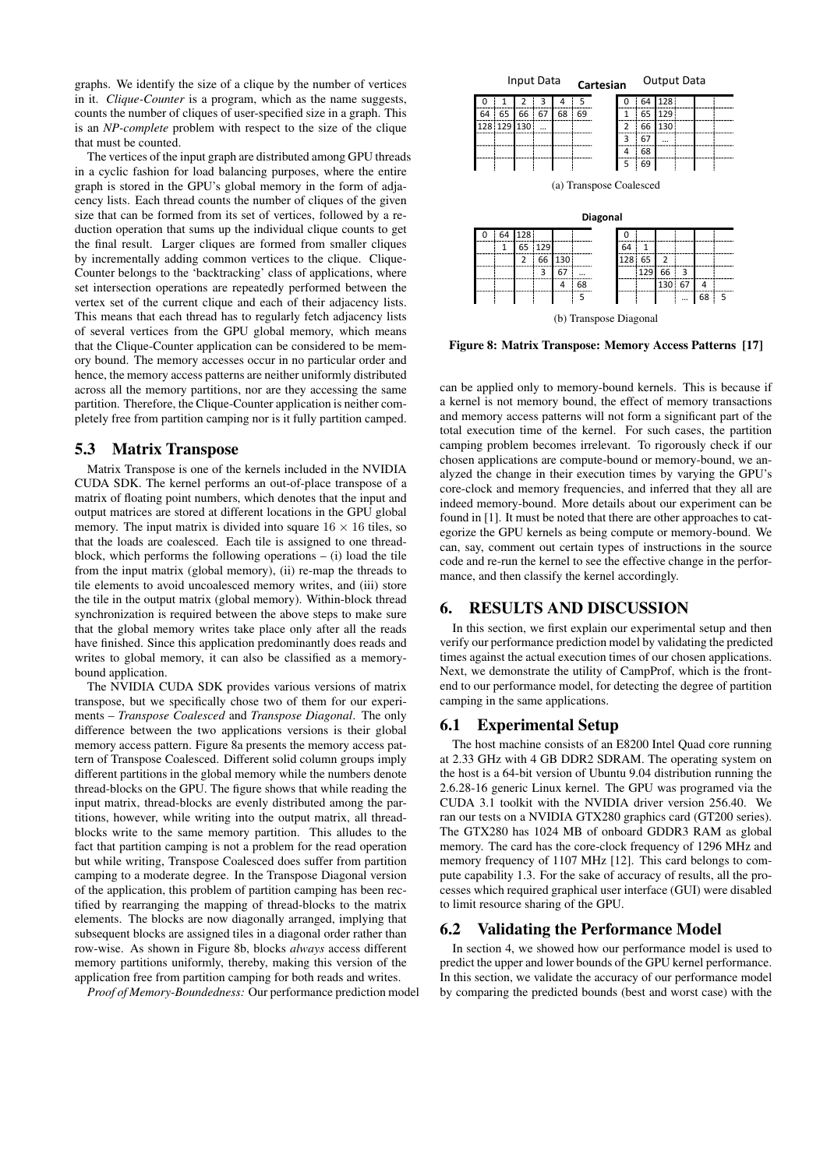graphs. We identify the size of a clique by the number of vertices in it. *Clique-Counter* is a program, which as the name suggests, counts the number of cliques of user-specified size in a graph. This is an *NP-complete* problem with respect to the size of the clique that must be counted.

The vertices of the input graph are distributed among GPU threads in a cyclic fashion for load balancing purposes, where the entire graph is stored in the GPU's global memory in the form of adjacency lists. Each thread counts the number of cliques of the given size that can be formed from its set of vertices, followed by a reduction operation that sums up the individual clique counts to get the final result. Larger cliques are formed from smaller cliques by incrementally adding common vertices to the clique. Clique-Counter belongs to the 'backtracking' class of applications, where set intersection operations are repeatedly performed between the vertex set of the current clique and each of their adjacency lists. This means that each thread has to regularly fetch adjacency lists of several vertices from the GPU global memory, which means that the Clique-Counter application can be considered to be memory bound. The memory accesses occur in no particular order and hence, the memory access patterns are neither uniformly distributed across all the memory partitions, nor are they accessing the same partition. Therefore, the Clique-Counter application is neither completely free from partition camping nor is it fully partition camped.

### 5.3 Matrix Transpose

Matrix Transpose is one of the kernels included in the NVIDIA CUDA SDK. The kernel performs an out-of-place transpose of a matrix of floating point numbers, which denotes that the input and output matrices are stored at different locations in the GPU global memory. The input matrix is divided into square  $16 \times 16$  tiles, so that the loads are coalesced. Each tile is assigned to one threadblock, which performs the following operations  $-$  (i) load the tile from the input matrix (global memory), (ii) re-map the threads to tile elements to avoid uncoalesced memory writes, and (iii) store the tile in the output matrix (global memory). Within-block thread synchronization is required between the above steps to make sure that the global memory writes take place only after all the reads have finished. Since this application predominantly does reads and writes to global memory, it can also be classified as a memorybound application.

The NVIDIA CUDA SDK provides various versions of matrix transpose, but we specifically chose two of them for our experiments – *Transpose Coalesced* and *Transpose Diagonal*. The only difference between the two applications versions is their global memory access pattern. Figure 8a presents the memory access pattern of Transpose Coalesced. Different solid column groups imply different partitions in the global memory while the numbers denote thread-blocks on the GPU. The figure shows that while reading the input matrix, thread-blocks are evenly distributed among the partitions, however, while writing into the output matrix, all threadblocks write to the same memory partition. This alludes to the fact that partition camping is not a problem for the read operation but while writing, Transpose Coalesced does suffer from partition camping to a moderate degree. In the Transpose Diagonal version of the application, this problem of partition camping has been rectified by rearranging the mapping of thread-blocks to the matrix elements. The blocks are now diagonally arranged, implying that subsequent blocks are assigned tiles in a diagonal order rather than row-wise. As shown in Figure 8b, blocks *always* access different memory partitions uniformly, thereby, making this version of the application free from partition camping for both reads and writes.

*Proof of Memory-Boundedness:* Our performance prediction model



(b) Transpose Diagonal Figure 8: Matrix Transpose: Memory Access Patterns [17]

can be applied only to memory-bound kernels. This is because if a kernel is not memory bound, the effect of memory transactions and memory access patterns will not form a significant part of the total execution time of the kernel. For such cases, the partition camping problem becomes irrelevant. To rigorously check if our chosen applications are compute-bound or memory-bound, we analyzed the change in their execution times by varying the GPU's core-clock and memory frequencies, and inferred that they all are indeed memory-bound. More details about our experiment can be found in [1]. It must be noted that there are other approaches to categorize the GPU kernels as being compute or memory-bound. We can, say, comment out certain types of instructions in the source code and re-run the kernel to see the effective change in the performance, and then classify the kernel accordingly.

### 6. RESULTS AND DISCUSSION

In this section, we first explain our experimental setup and then verify our performance prediction model by validating the predicted times against the actual execution times of our chosen applications. Next, we demonstrate the utility of CampProf, which is the frontend to our performance model, for detecting the degree of partition camping in the same applications.

#### 6.1 Experimental Setup

The host machine consists of an E8200 Intel Quad core running at 2.33 GHz with 4 GB DDR2 SDRAM. The operating system on the host is a 64-bit version of Ubuntu 9.04 distribution running the 2.6.28-16 generic Linux kernel. The GPU was programed via the CUDA 3.1 toolkit with the NVIDIA driver version 256.40. We ran our tests on a NVIDIA GTX280 graphics card (GT200 series). The GTX280 has 1024 MB of onboard GDDR3 RAM as global memory. The card has the core-clock frequency of 1296 MHz and memory frequency of 1107 MHz [12]. This card belongs to compute capability 1.3. For the sake of accuracy of results, all the processes which required graphical user interface (GUI) were disabled to limit resource sharing of the GPU.

#### 6.2 Validating the Performance Model

In section 4, we showed how our performance model is used to predict the upper and lower bounds of the GPU kernel performance. In this section, we validate the accuracy of our performance model by comparing the predicted bounds (best and worst case) with the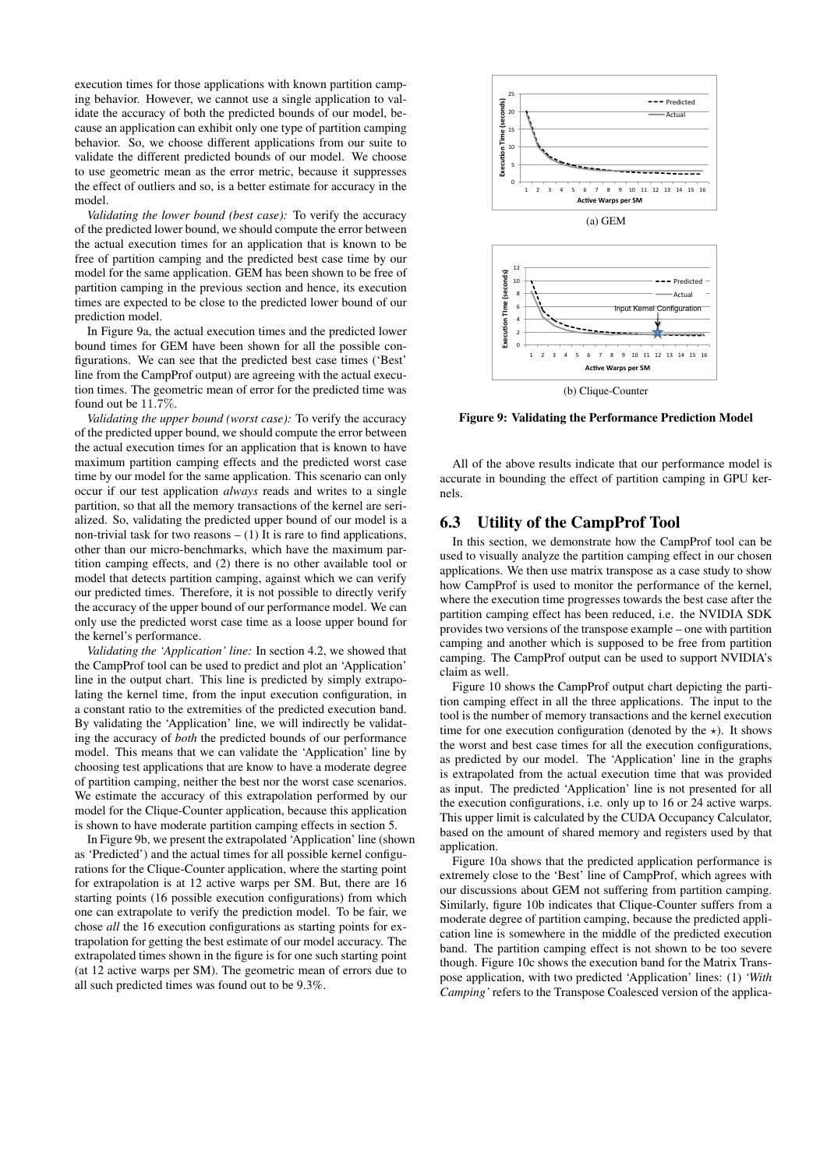execution times for those applications with known partition camping behavior. However, we cannot use a single application to validate the accuracy of both the predicted bounds of our model, because an application can exhibit only one type of partition camping behavior. So, we choose different applications from our suite to validate the different predicted bounds of our model. We choose to use geometric mean as the error metric, because it suppresses the effect of outliers and so, is a better estimate for accuracy in the model.

*Validating the lower bound (best case):* To verify the accuracy of the predicted lower bound, we should compute the error between the actual execution times for an application that is known to be free of partition camping and the predicted best case time by our model for the same application. GEM has been shown to be free of partition camping in the previous section and hence, its execution times are expected to be close to the predicted lower bound of our prediction model.

In Figure 9a, the actual execution times and the predicted lower bound times for GEM have been shown for all the possible configurations. We can see that the predicted best case times ('Best' line from the CampProf output) are agreeing with the actual execution times. The geometric mean of error for the predicted time was found out be 11.7%.

*Validating the upper bound (worst case):* To verify the accuracy of the predicted upper bound, we should compute the error between the actual execution times for an application that is known to have maximum partition camping effects and the predicted worst case time by our model for the same application. This scenario can only occur if our test application *always* reads and writes to a single partition, so that all the memory transactions of the kernel are serialized. So, validating the predicted upper bound of our model is a non-trivial task for two reasons  $- (1)$  It is rare to find applications, other than our micro-benchmarks, which have the maximum partition camping effects, and (2) there is no other available tool or model that detects partition camping, against which we can verify our predicted times. Therefore, it is not possible to directly verify the accuracy of the upper bound of our performance model. We can only use the predicted worst case time as a loose upper bound for the kernel's performance.

*Validating the 'Application' line:* In section 4.2, we showed that the CampProf tool can be used to predict and plot an 'Application' line in the output chart. This line is predicted by simply extrapolating the kernel time, from the input execution configuration, in a constant ratio to the extremities of the predicted execution band. By validating the 'Application' line, we will indirectly be validating the accuracy of *both* the predicted bounds of our performance model. This means that we can validate the 'Application' line by choosing test applications that are know to have a moderate degree of partition camping, neither the best nor the worst case scenarios. We estimate the accuracy of this extrapolation performed by our model for the Clique-Counter application, because this application is shown to have moderate partition camping effects in section 5.

In Figure 9b, we present the extrapolated 'Application' line (shown as 'Predicted') and the actual times for all possible kernel configurations for the Clique-Counter application, where the starting point for extrapolation is at 12 active warps per SM. But, there are 16 starting points (16 possible execution configurations) from which one can extrapolate to verify the prediction model. To be fair, we chose *all* the 16 execution configurations as starting points for extrapolation for getting the best estimate of our model accuracy. The extrapolated times shown in the figure is for one such starting point (at 12 active warps per SM). The geometric mean of errors due to all such predicted times was found out to be 9.3%.



Figure 9: Validating the Performance Prediction Model

All of the above results indicate that our performance model is accurate in bounding the effect of partition camping in GPU kernels.

# 6.3 Utility of the CampProf Tool

In this section, we demonstrate how the CampProf tool can be used to visually analyze the partition camping effect in our chosen applications. We then use matrix transpose as a case study to show how CampProf is used to monitor the performance of the kernel, where the execution time progresses towards the best case after the partition camping effect has been reduced, i.e. the NVIDIA SDK provides two versions of the transpose example – one with partition camping and another which is supposed to be free from partition camping. The CampProf output can be used to support NVIDIA's claim as well.

Figure 10 shows the CampProf output chart depicting the partition camping effect in all the three applications. The input to the tool is the number of memory transactions and the kernel execution time for one execution configuration (denoted by the  $\star$ ). It shows the worst and best case times for all the execution configurations, as predicted by our model. The 'Application' line in the graphs is extrapolated from the actual execution time that was provided as input. The predicted 'Application' line is not presented for all the execution configurations, i.e. only up to 16 or 24 active warps. This upper limit is calculated by the CUDA Occupancy Calculator, based on the amount of shared memory and registers used by that application.

Figure 10a shows that the predicted application performance is extremely close to the 'Best' line of CampProf, which agrees with our discussions about GEM not suffering from partition camping. Similarly, figure 10b indicates that Clique-Counter suffers from a moderate degree of partition camping, because the predicted application line is somewhere in the middle of the predicted execution band. The partition camping effect is not shown to be too severe though. Figure 10c shows the execution band for the Matrix Transpose application, with two predicted 'Application' lines: (1) *'With Camping'* refers to the Transpose Coalesced version of the applica-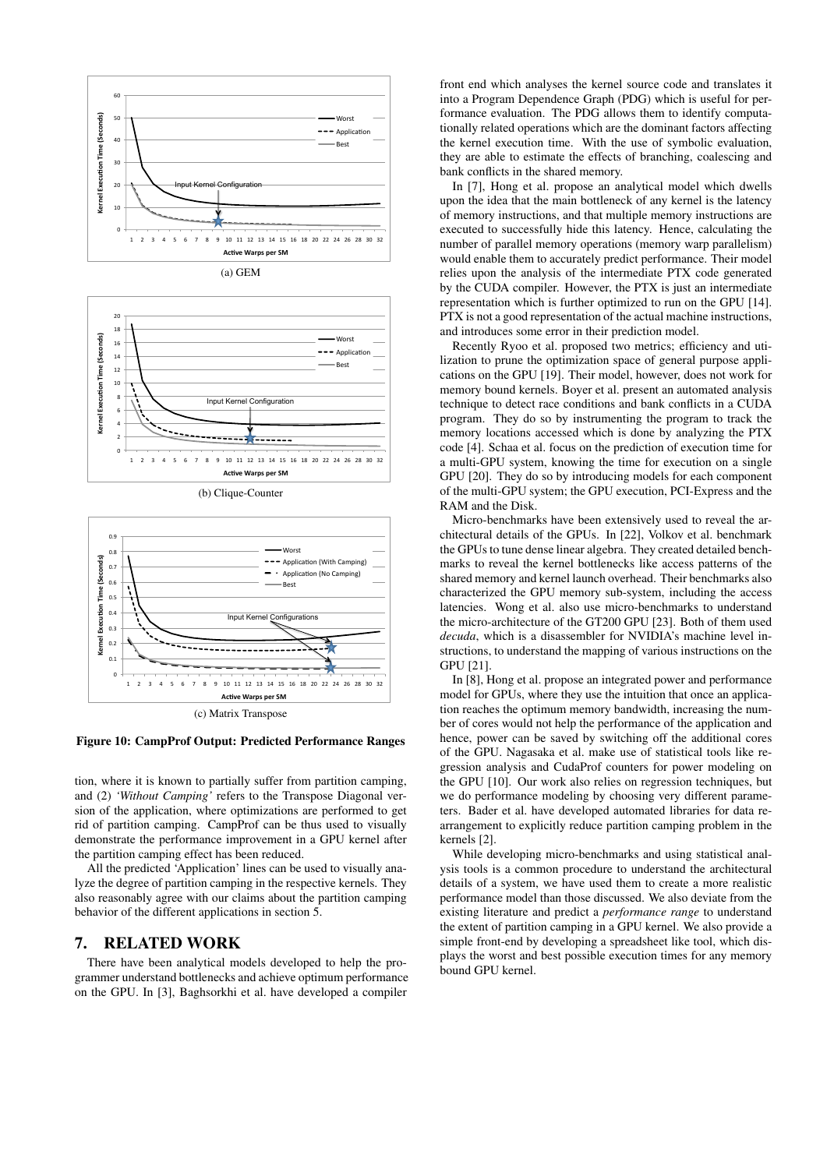

 $(a)$  GEM







(c) Matrix Transpose

Figure 10: CampProf Output: Predicted Performance Ranges

tion, where it is known to partially suffer from partition camping, and (2) 'Without Camping' refers to the Transpose Diagonal version of the application, where optimizations are performed to get rid of partition camping. CampProf can be thus used to visually demonstrate the performance improvement in a GPU kernel after the partition camping effect has been reduced.

All the predicted 'Application' lines can be used to visually analyze the degree of partition camping in the respective kernels. They also reasonably agree with our claims about the partition camping behavior of the different applications in section 5.

#### **RELATED WORK** 7.

There have been analytical models developed to help the programmer understand bottlenecks and achieve optimum performance on the GPU. In [3], Baghsorkhi et al. have developed a compiler

front end which analyses the kernel source code and translates it into a Program Dependence Graph (PDG) which is useful for performance evaluation. The PDG allows them to identify computationally related operations which are the dominant factors affecting the kernel execution time. With the use of symbolic evaluation, they are able to estimate the effects of branching, coalescing and bank conflicts in the shared memory.

In [7], Hong et al. propose an analytical model which dwells upon the idea that the main bottleneck of any kernel is the latency of memory instructions, and that multiple memory instructions are executed to successfully hide this latency. Hence, calculating the number of parallel memory operations (memory warp parallelism) would enable them to accurately predict performance. Their model relies upon the analysis of the intermediate PTX code generated by the CUDA compiler. However, the PTX is just an intermediate representation which is further optimized to run on the GPU [14]. PTX is not a good representation of the actual machine instructions, and introduces some error in their prediction model.

Recently Ryoo et al. proposed two metrics; efficiency and utilization to prune the optimization space of general purpose applications on the GPU [19]. Their model, however, does not work for memory bound kernels. Boyer et al. present an automated analysis technique to detect race conditions and bank conflicts in a CUDA program. They do so by instrumenting the program to track the memory locations accessed which is done by analyzing the PTX code [4]. Schaa et al. focus on the prediction of execution time for a multi-GPU system, knowing the time for execution on a single GPU [20]. They do so by introducing models for each component of the multi-GPU system; the GPU execution, PCI-Express and the RAM and the Disk.

Micro-benchmarks have been extensively used to reveal the architectural details of the GPUs. In [22], Volkov et al. benchmark the GPUs to tune dense linear algebra. They created detailed benchmarks to reveal the kernel bottlenecks like access patterns of the shared memory and kernel launch overhead. Their benchmarks also characterized the GPU memory sub-system, including the access latencies. Wong et al. also use micro-benchmarks to understand the micro-architecture of the GT200 GPU [23]. Both of them used *decuda*, which is a disassembler for NVIDIA's machine level instructions, to understand the mapping of various instructions on the GPU [21].

In [8], Hong et al. propose an integrated power and performance model for GPUs, where they use the intuition that once an application reaches the optimum memory bandwidth, increasing the number of cores would not help the performance of the application and hence, power can be saved by switching off the additional cores of the GPU. Nagasaka et al. make use of statistical tools like regression analysis and CudaProf counters for power modeling on the GPU [10]. Our work also relies on regression techniques, but we do performance modeling by choosing very different parameters. Bader et al. have developed automated libraries for data rearrangement to explicitly reduce partition camping problem in the kernels [2].

While developing micro-benchmarks and using statistical analysis tools is a common procedure to understand the architectural details of a system, we have used them to create a more realistic performance model than those discussed. We also deviate from the existing literature and predict a *performance range* to understand the extent of partition camping in a GPU kernel. We also provide a simple front-end by developing a spreadsheet like tool, which displays the worst and best possible execution times for any memory bound GPU kernel.